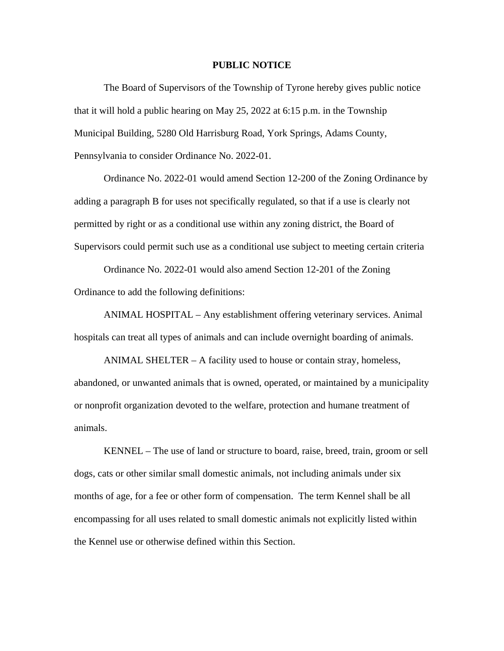## **PUBLIC NOTICE**

The Board of Supervisors of the Township of Tyrone hereby gives public notice that it will hold a public hearing on May 25, 2022 at 6:15 p.m. in the Township Municipal Building, 5280 Old Harrisburg Road, York Springs, Adams County, Pennsylvania to consider Ordinance No. 2022-01.

Ordinance No. 2022-01 would amend Section 12-200 of the Zoning Ordinance by adding a paragraph B for uses not specifically regulated, so that if a use is clearly not permitted by right or as a conditional use within any zoning district, the Board of Supervisors could permit such use as a conditional use subject to meeting certain criteria

Ordinance No. 2022-01 would also amend Section 12-201 of the Zoning Ordinance to add the following definitions:

ANIMAL HOSPITAL – Any establishment offering veterinary services. Animal hospitals can treat all types of animals and can include overnight boarding of animals.

ANIMAL SHELTER – A facility used to house or contain stray, homeless, abandoned, or unwanted animals that is owned, operated, or maintained by a municipality or nonprofit organization devoted to the welfare, protection and humane treatment of animals.

KENNEL – The use of land or structure to board, raise, breed, train, groom or sell dogs, cats or other similar small domestic animals, not including animals under six months of age, for a fee or other form of compensation. The term Kennel shall be all encompassing for all uses related to small domestic animals not explicitly listed within the Kennel use or otherwise defined within this Section.